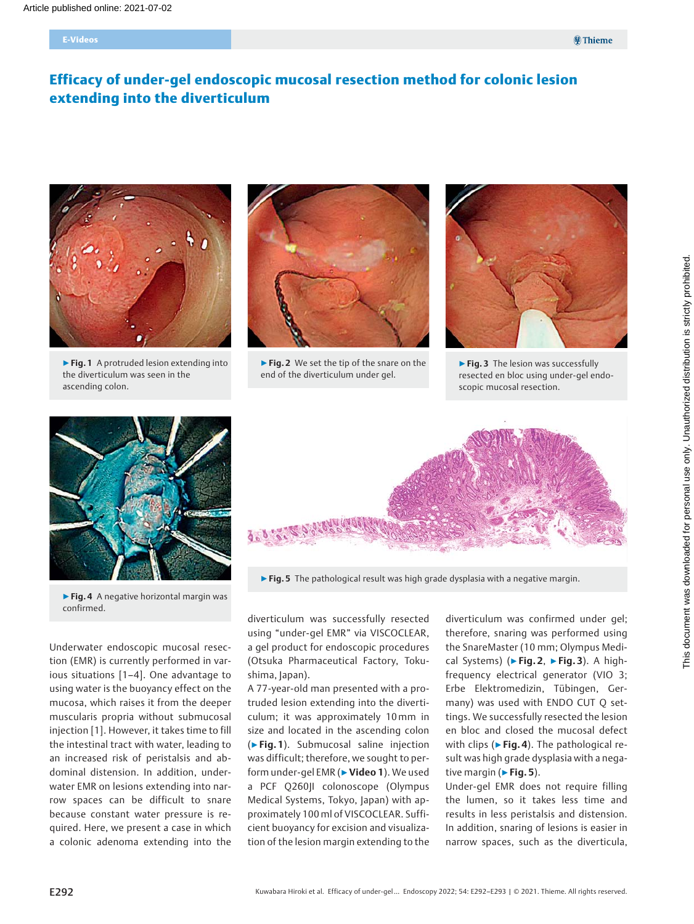# Efficacy of under-gel endoscopic mucosal resection method for colonic lesion extending into the diverticulum



▶ Fig. 1 A protruded lesion extending into the diverticulum was seen in the ascending colon.



▶ Fig. 2 We set the tip of the snare on the end of the diverticulum under gel.



▶ Fig. 3 The lesion was successfully resected en bloc using under-gel endoscopic mucosal resection.





 $\triangleright$  Fig. 5 The pathological result was high grade dysplasia with a negative margin.

▶ Fig. 4 A negative horizontal margin was confirmed.

Underwater endoscopic mucosal resection (EMR) is currently performed in various situations [1–4]. One advantage to using water is the buoyancy effect on the mucosa, which raises it from the deeper muscularis propria without submucosal injection [1]. However, it takes time to fill the intestinal tract with water, leading to an increased risk of peristalsis and abdominal distension. In addition, underwater EMR on lesions extending into narrow spaces can be difficult to snare because constant water pressure is required. Here, we present a case in which a colonic adenoma extending into the

diverticulum was successfully resected using "under-gel EMR" via VISCOCLEAR, a gel product for endoscopic procedures (Otsuka Pharmaceutical Factory, Tokushima, Japan).

A 77-year-old man presented with a protruded lesion extending into the diverticulum; it was approximately 10mm in size and located in the ascending colon (▶Fig. 1). Submucosal saline injection was difficult; therefore, we sought to perform under-gel EMR (► Video 1). We used a PCF Q260JI colonoscope (Olympus Medical Systems, Tokyo, Japan) with approximately 100 ml of VISCOCLEAR. Sufficient buoyancy for excision and visualization of the lesion margin extending to the

diverticulum was confirmed under gel; therefore, snaring was performed using the SnareMaster (10 mm; Olympus Medical Systems) ( $\blacktriangleright$  Fig. 2,  $\blacktriangleright$  Fig. 3). A highfrequency electrical generator (VIO 3; Erbe Elektromedizin, Tübingen, Germany) was used with ENDO CUT Q settings. We successfully resected the lesion en bloc and closed the mucosal defect with clips ( $\triangleright$  Fig. 4). The pathological result was high grade dysplasia with a negative margin ( $\triangleright$  Fig. 5).

Under-gel EMR does not require filling the lumen, so it takes less time and results in less peristalsis and distension. In addition, snaring of lesions is easier in narrow spaces, such as the diverticula,